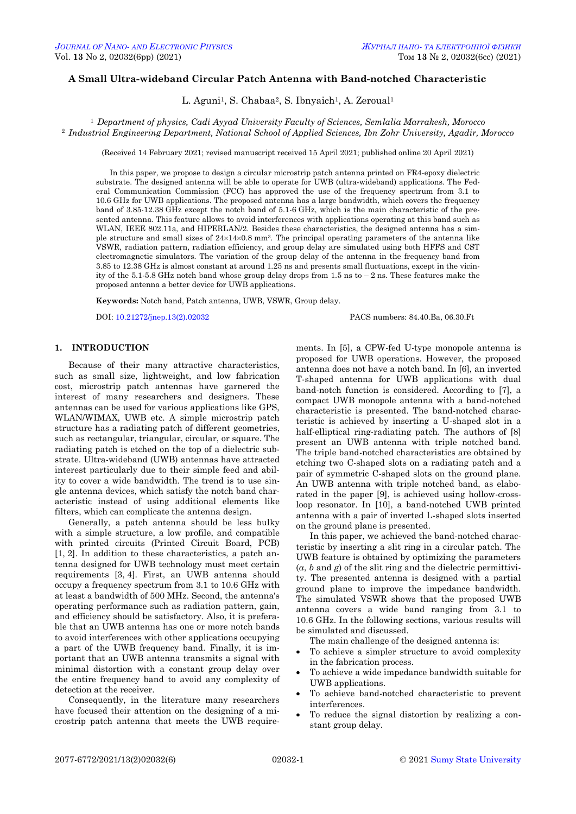# **A Small Ultra-wideband Circular Patch Antenna with Band-notched Characteristic**

L. Aguni<sup>1</sup>, S. Chabaa<sup>2</sup>, S. Ibnyaich<sup>1</sup>, A. Zeroual<sup>1</sup>

<sup>1</sup> *Department of physics, Cadi Ayyad University Faculty of Sciences, Semlalia Marrakesh, Morocco* <sup>2</sup> *Industrial Engineering Department, National School of Applied Sciences, Ibn Zohr University, Agadir, Morocco*

(Received 14 February 2021; revised manuscript received 15 April 2021; published online 20 April 2021)

In this paper, we propose to design a circular microstrip patch antenna printed on FR4-epoxy dielectric substrate. The designed antenna will be able to operate for UWB (ultra-wideband) applications. The Federal Communication Commission (FCC) has approved the use of the frequency spectrum from 3.1 to 10.6 GHz for UWB applications. The proposed antenna has a large bandwidth, which covers the frequency band of 3.85-12.38 GHz except the notch band of 5.1-6 GHz, which is the main characteristic of the presented antenna. This feature allows to avoid interferences with applications operating at this band such as WLAN, IEEE 802.11a, and HIPERLAN/2. Besides these characteristics, the designed antenna has a simple structure and small sizes of  $24\times14\times0.8$  mm<sup>3</sup>. The principal operating parameters of the antenna like VSWR, radiation pattern, radiation efficiency, and group delay are simulated using both HFFS and CST electromagnetic simulators. The variation of the group delay of the antenna in the frequency band from 3.85 to 12.38 GHz is almost constant at around 1.25 ns and presents small fluctuations, except in the vicinity of the 5.1-5.8 GHz notch band whose group delay drops from 1.5 ns to – 2 ns. These features make the proposed antenna a better device for UWB applications.

**Keywords:** Notch band, Patch antenna, UWB, VSWR, Group delay.

DOI[: 10.21272/jnep.13\(2\).02032](https://doi.org/10.21272/jnep.13(2).02032) PACS numbers: 84.40.Ba, 06.30.Ft

# **1. INTRODUCTION**

Because of their many attractive characteristics, such as small size, lightweight, and low fabrication cost, microstrip patch antennas have garnered the interest of many researchers and designers. These antennas can be used for various applications like GPS, WLAN/WIMAX, UWB etc. A simple microstrip patch structure has a radiating patch of different geometries, such as rectangular, triangular, circular, or square. The radiating patch is etched on the top of a dielectric substrate. Ultra-wideband (UWB) antennas have attracted interest particularly due to their simple feed and ability to cover a wide bandwidth. The trend is to use single antenna devices, which satisfy the notch band characteristic instead of using additional elements like filters, which can complicate the antenna design.

Generally, a patch antenna should be less bulky with a simple structure, a low profile, and compatible with printed circuits (Printed Circuit Board, PCB) [1, 2]. In addition to these characteristics, a patch antenna designed for UWB technology must meet certain requirements [3, 4]. First, an UWB antenna should occupy a frequency spectrum from 3.1 to 10.6 GHz with at least a bandwidth of 500 MHz. Second, the antenna's operating performance such as radiation pattern, gain, and efficiency should be satisfactory. Also, it is preferable that an UWB antenna has one or more notch bands to avoid interferences with other applications occupying a part of the UWB frequency band. Finally, it is important that an UWB antenna transmits a signal with minimal distortion with a constant group delay over the entire frequency band to avoid any complexity of detection at the receiver.

<span id="page-0-3"></span><span id="page-0-2"></span><span id="page-0-1"></span><span id="page-0-0"></span>Consequently, in the literature many researchers have focused their attention on the designing of a microstrip patch antenna that meets the UWB requirements. In [5], a CPW-fed U-type monopole antenna is proposed for UWB operations. However, the proposed antenna does not have a notch band. In [6], an inverted T-shaped antenna for UWB applications with dual band-notch function is considered. According to [7], a compact UWB monopole antenna with a band-notched characteristic is presented. The band-notched characteristic is achieved by inserting a U-shaped slot in a half-elliptical ring-radiating patch. The authors of [8] present an UWB antenna with triple notched band. The triple band-notched characteristics are obtained by etching two C-shaped slots on a radiating patch and a pair of symmetric C-shaped slots on the ground plane. An UWB antenna with triple notched band, as elaborated in the paper [9], is achieved using hollow-crossloop resonator. In [10], a band-notched UWB printed antenna with a pair of inverted L-shaped slots inserted on the ground plane is presented.

In this paper, we achieved the band-notched characteristic by inserting a slit ring in a circular patch. The UWB feature is obtained by optimizing the parameters  $(a, b \text{ and } g)$  of the slit ring and the dielectric permittivity. The presented antenna is designed with a partial ground plane to improve the impedance bandwidth. The simulated VSWR shows that the proposed UWB antenna covers a wide band ranging from 3.1 to 10.6 GHz. In the following sections, various results will be simulated and discussed.

The main challenge of the designed antenna is:

- To achieve a simpler structure to avoid complexity in the fabrication process.
- To achieve a wide impedance bandwidth suitable for UWB applications.
- To achieve band-notched characteristic to prevent interferences.
- To reduce the signal distortion by realizing a constant group delay.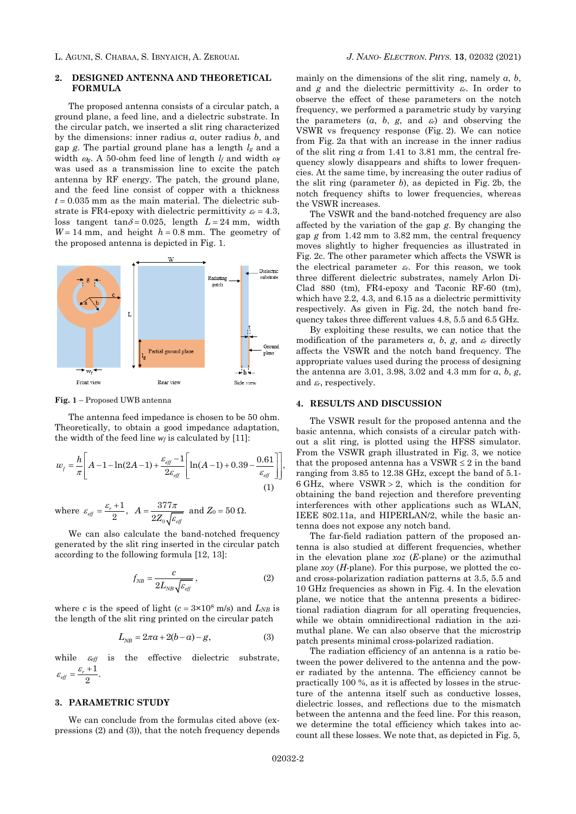### **2. DESIGNED ANTENNA AND THEORETICAL FORMULA**

The proposed antenna consists of a circular patch, a ground plane, a feed line, and a dielectric substrate. In the circular patch, we inserted a slit ring characterized by the dimensions: inner radius *a*, outer radius *b*, and gap *g*. The partial ground plane has a length *l<sup>g</sup>* and a width  $\omega_{\rm g}$ . A 50-ohm feed line of length  $l_f$  and width  $\omega_f$ was used as a transmission line to excite the patch antenna by RF energy. The patch, the ground plane, and the feed line consist of copper with a thickness  $t = 0.035$  mm as the main material. The dielectric substrate is FR4-epoxy with dielectric permittivity  $\varepsilon_r = 4.3$ , loss tangent tan $\delta = 0.025$ , length  $L = 24$  mm, width  $W = 14$  mm, and height  $h = 0.8$  mm. The geometry of the proposed antenna is depicted in Fig. 1.



**Fig. 1** – Proposed UWB antenna

The antenna feed impedance is chosen to be 50 ohm. Theoretically, to obtain a good impedance adaptation,

the width of the feed line 
$$
w_f
$$
 is calculated by [11]:  
\n
$$
w_f = \frac{h}{\pi} \left[ A - 1 - \ln(2A - 1) + \frac{\varepsilon_{eff} - 1}{2\varepsilon_{eff}} \left[ \ln(A - 1) + 0.39 - \frac{0.61}{\varepsilon_{eff}} \right] \right],
$$
\n
$$
w_f = \frac{h}{\pi} \left[ A - 1 - \ln(2A - 1) + \frac{\varepsilon_{eff} - 1}{2\varepsilon_{eff}} \left[ \ln(A - 1) + 0.39 - \frac{0.61}{\varepsilon_{eff}} \right] \right],
$$
\n(1)

where  $\varepsilon_{\text{eff}} = \frac{\varepsilon_r + 1}{2}$ , 0 377  $A = \frac{377\pi}{2Z_0\sqrt{\varepsilon_{\text{eff}}}}$ π  $=\frac{8\pi R}{2Z_0\sqrt{\varepsilon_s}}$  and  $Z_0 = 50 \Omega$ .

We can also calculate the band-notched frequency generated by the slit ring inserted in the circular patch according to the following formula [12, 13]:

$$
f_{NB} = \frac{c}{2L_{NB}\sqrt{\varepsilon_{eff}}},\tag{2}
$$

where *c* is the speed of light  $(c = 3 \times 10^8 \text{ m/s})$  and  $L_{NB}$  is the length of the slit ring printed on the circular patch

$$
L_{NB} = 2\pi a + 2(b - a) - g,\t\t(3)
$$

while  $\varepsilon_{eff}$  is the effective dielectric substrate,  $\varepsilon_{\text{eff}} = \frac{\varepsilon_r + 1}{2}.$ 

#### **3. PARAMETRIC STUDY**

We can conclude from the formulas cited above (expressions (2) and (3)), that the notch frequency depends

mainly on the dimensions of the slit ring, namely *a*, *b*, and  $g$  and the dielectric permittivity  $\varepsilon_r$ . In order to observe the effect of these parameters on the notch frequency, we performed a parametric study by varying the parameters  $(a, b, g, \text{ and } \varepsilon)$  and observing the VSWR vs frequency response (Fig. 2). We can notice from Fig. 2a that with an increase in the inner radius of the slit ring *a* from 1.41 to 3.81 mm, the central frequency slowly disappears and shifts to lower frequencies. At the same time, by increasing the outer radius of the slit ring (parameter *b*), as depicted in Fig. 2b, the notch frequency shifts to lower frequencies, whereas the VSWR increases.

The VSWR and the band-notched frequency are also affected by the variation of the gap *g*. By changing the gap *g* from 1.42 mm to 3.82 mm, the central frequency moves slightly to higher frequencies as illustrated in Fig. 2c. The other parameter which affects the VSWR is the electrical parameter  $\varepsilon_r$ . For this reason, we took three different dielectric substrates, namely Arlon Di-Clad 880 (tm), FR4-epoxy and Taconic RF-60 (tm), which have 2.2, 4.3, and 6.15 as a dielectric permittivity respectively. As given in Fig. 2d, the notch band frequency takes three different values 4.8, 5.5 and 6.5 GHz.

By exploiting these results, we can notice that the modification of the parameters  $a$ ,  $b$ ,  $g$ , and  $\varepsilon_r$  directly affects the VSWR and the notch band frequency. The appropriate values used during the process of designing the antenna are 3.01, 3.98, 3.02 and 4.3 mm for *a*, *b*, *g*, and  $\varepsilon_r$ , respectively.

### **4. RESULTS AND DISCUSSION**

The VSWR result for the proposed antenna and the basic antenna, which consists of a circular patch without a slit ring, is plotted using the HFSS simulator. From the VSWR graph illustrated in Fig. 3, we notice that the proposed antenna has a  $VSWR \leq 2$  in the band ranging from 3.85 to 12.38 GHz, except the band of 5.1- 6 GHz, where  $VSWR > 2$ , which is the condition for obtaining the band rejection and therefore preventing interferences with other applications such as WLAN, IEEE 802.11a, and HIPERLAN/2, while the basic antenna does not expose any notch band.

The far-field radiation pattern of the proposed antenna is also studied at different frequencies, whether in the elevation plane *xoz* (*E*-plane) or the azimuthal plane *xoy* (*H*-plane). For this purpose, we plotted the coand cross-polarization radiation patterns at 3.5, 5.5 and 10 GHz frequencies as shown in Fig. 4. In the elevation plane, we notice that the antenna presents a bidirectional radiation diagram for all operating frequencies, while we obtain omnidirectional radiation in the azimuthal plane. We can also observe that the microstrip patch presents minimal cross-polarized radiation.

The radiation efficiency of an antenna is a ratio between the power delivered to the antenna and the power radiated by the antenna. The efficiency cannot be practically 100 %, as it is affected by losses in the structure of the antenna itself such as conductive losses, dielectric losses, and reflections due to the mismatch between the antenna and the feed line. For this reason, we determine the total efficiency which takes into account all these losses. We note that, as depicted in Fig. 5,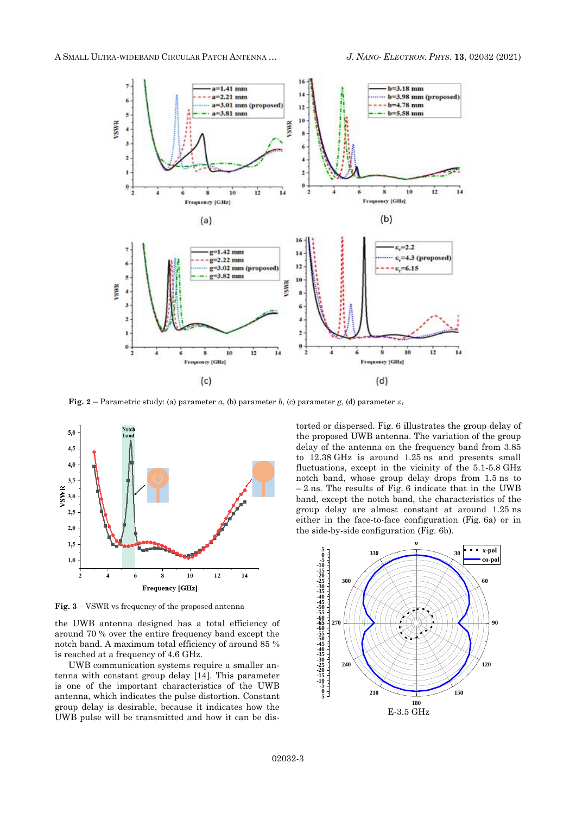A SMALL ULTRA-WIDEBAND CIRCULAR PATCH ANTENNA … *J. NANO- ELECTRON. PHYS.* **[13](#page-0-2)**, [02032](#page-0-2) [\(2021\)](#page-0-2)



**Fig.** 2 – Parametric study: (a) parameter *a*, (b) parameter *b*, (c) parameter *g*, (d) parameter  $\varepsilon_r$ 



**Fig. 3** – VSWR vs frequency of the proposed antenna

the UWB antenna designed has a total efficiency of around 70 % over the entire frequency band except the notch band. A maximum total efficiency of around 85 % is reached at a frequency of 4.6 GHz.

UWB communication systems require a smaller antenna with constant group delay [14]. This parameter is one of the important characteristics of the UWB antenna, which indicates the pulse distortion. Constant group delay is desirable, because it indicates how the UWB pulse will be transmitted and how it can be distorted or dispersed. Fig. 6 illustrates the group delay of the proposed UWB antenna. The variation of the group delay of the antenna on the frequency band from 3.85 to 12.38 GHz is around 1.25 ns and presents small fluctuations, except in the vicinity of the 5.1-5.8 GHz notch band, whose group delay drops from 1.5 ns to  $-2$  ns. The results of Fig. 6 indicate that in the UWB band, except the notch band, the characteristics of the group delay are almost constant at around 1.25 ns either in the face-to-face configuration (Fig. 6a) or in the side-by-side configuration (Fig. 6b).

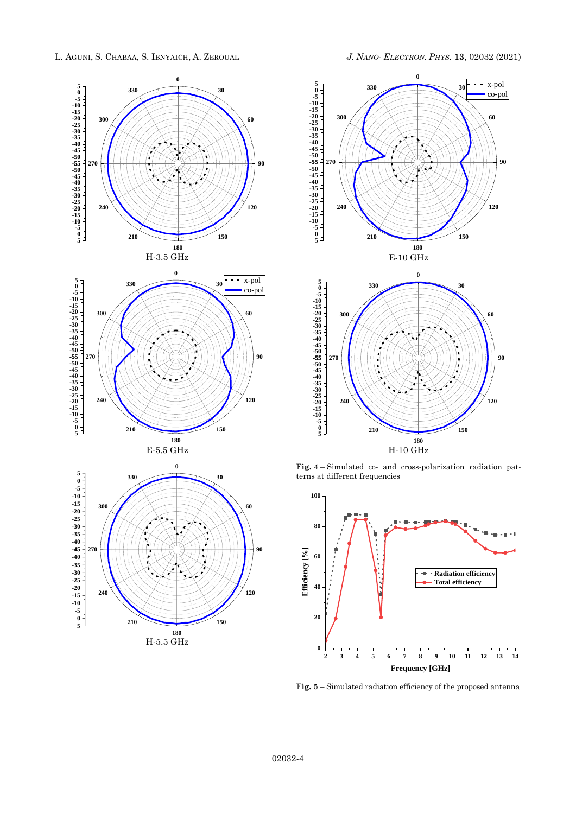











**Fig. 4** – Simulated co- and cross-polarization radiation patterns at different frequencies



**Fig. 5** – Simulated radiation efficiency of the proposed antenna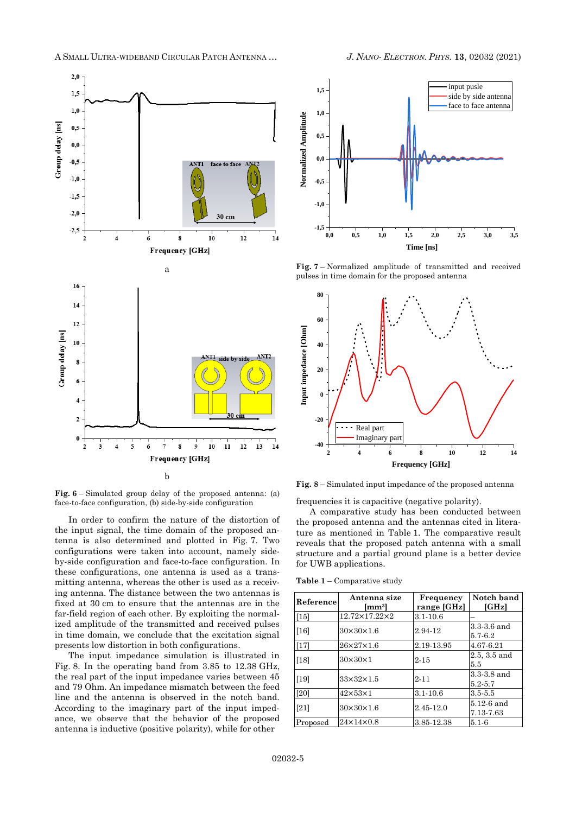

**Fig. 6** – Simulated group delay of the proposed antenna: (a) face-to-face configuration, (b) side-by-side configuration

In order to confirm the nature of the distortion of the input signal, the time domain of the proposed antenna is also determined and plotted in Fig. 7. Two configurations were taken into account, namely sideby-side configuration and face-to-face configuration. In these configurations, one antenna is used as a transmitting antenna, whereas the other is used as a receiving antenna. The distance between the two antennas is fixed at 30 cm to ensure that the antennas are in the far-field region of each other. By exploiting the normalized amplitude of the transmitted and received pulses in time domain, we conclude that the excitation signal presents low distortion in both configurations.

The input impedance simulation is illustrated in Fig. 8. In the operating band from 3.85 to 12.38 GHz, the real part of the input impedance varies between 45 and 79 Ohm. An impedance mismatch between the feed line and the antenna is observed in the notch band. According to the imaginary part of the input impedance, we observe that the behavior of the proposed antenna is inductive (positive polarity), while for other





**Fig. 7** – Normalized amplitude of transmitted and received pulses in time domain for the proposed antenna



**Fig. 8** – Simulated input impedance of the proposed antenna

frequencies it is capacitive (negative polarity).

A comparative study has been conducted between the proposed antenna and the antennas cited in literature as mentioned in Table 1. The comparative result reveals that the proposed patch antenna with a small structure and a partial ground plane is a better device for UWB applications.

**Table 1** – Comparative study

| Reference | Antenna size<br>[mm3] | Frequency<br>range [GHz] | Notch band<br>[GHz]        |
|-----------|-----------------------|--------------------------|----------------------------|
| [15]      | 12.72×17.22×2         | $3.1 - 10.6$             |                            |
| [16]      | $30\times30\times1.6$ | 2.94-12                  | 3.3-3.6 and<br>5.7-6.2     |
| $[17]$    | 26×27×1.6             | 2.19-13.95               | 4.67-6.21                  |
| [18]      | $30\times30\times1$   | $2 - 15$                 | 2.5, 3.5 and<br>5.5        |
| $[19]$    | $33\times32\times1.5$ | $2 - 11$                 | 3.3-3.8 and<br>$5.2 - 5.7$ |
| [20]      | $42\times53\times1$   | $3.1 - 10.6$             | $3.5 - 5.5$                |
| [21]      | $30\times30\times1.6$ | 2.45-12.0                | $5.12-6$ and<br>7.13-7.63  |
| Proposed  | $24\times14\times0.8$ | 3.85 12.38               | $5.1 - 6$                  |